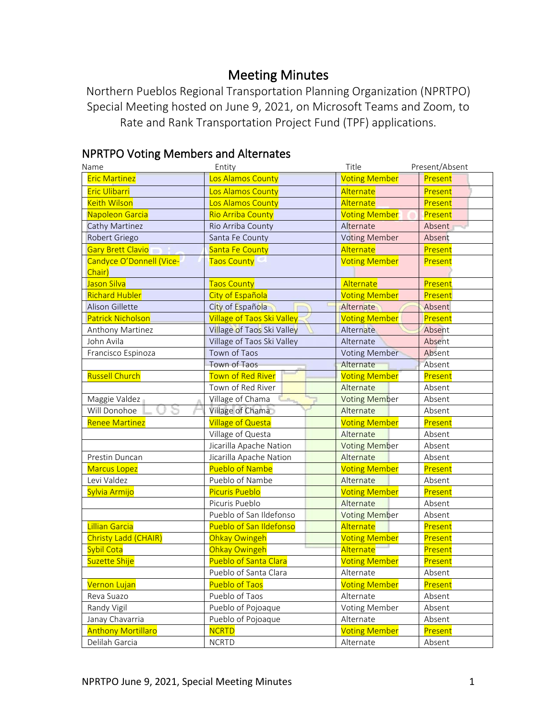# Meeting Minutes

Northern Pueblos Regional Transportation Planning Organization (NPRTPO) Special Meeting hosted on June 9, 2021, on Microsoft Teams and Zoom, to Rate and Rank Transportation Project Fund (TPF) applications.

#### **NPRTPO Voting Members and Alternates**<br>Name Fitle Present/Absent Eric Martinez **Los Alamos County Communist County** Voting Member Present Eric Ulibarri **Los Alamos County** Alternate **Present** Keith Wilson **Los Alamos County** Alternate **Present** Napoleon Garcia **Rio Arriba County Rio Arriba County Present** Voting Member Present Cathy Martinez **Rio Arriba County** Alternate Absent Robert Griego Santa Fe County Santa Fe County Noting Member Absent Gary Brett Clavio Santa Fe County Alternate Alternate Present Candyce O'Donnell (Vice-Chair) Taos County Volume Voting Member Present Jason Silva **Taos County Taos County Taos Alternate Present** Richard Hubler City of Española City of Española Voting Member Present Alison Gillette City of Española Alternate Absent Patrick Nicholson **Village of Taos Ski Valley Voting Member** Present Anthony Martinez Village of Taos Ski Valley Alternate Absent John Avila **Village of Taos Ski Valley** Alternate Francisco Espinoza | Town of Taos | Voting Member | Absent Town of Taos **Alternate** Absent Russell Church **Town of Red River Community Control** Present Town of Red River **Alternate** Absent Maggie Valdez **Village of Chama** Voting Member Absent Will Donohoe  $\Box$   $\Box$   $\Box$   $\Box$  Village of Chama  $\Box$  Alternate Absent Renee Martinez **Constructs** Village of Questa Voting Member Present Village of Questa Alternate Absent Jicarilla Apache Nation **Voting Member** Absent Prestin Duncan Jicarilla Apache Nation **Alternate** Absent Marcus Lopez **Pueblo of Nambe** Pueblo of Namber Present Levi Valdez **Pueblo of Nambe** Alternate Absent Sylvia Armijo **Picuris Pueblo Province Armijo Present** Present Picuris Pueblo **Alternate** Absent Pueblo of San Ildefonso Voting Member Absent Lillian Garcia **Pueblo of San Ildefonso Alternate Present** Present Christy Ladd (CHAIR) Ohkay Owingeh Voting Member Present Sybil Cota **Collact Concernation Contract Concernation** Concernation Concernation Concernation Concernation Present Suzette Shije **Pueblo of Santa Clara** Posting Member Present Pueblo of Santa Clara Alternate Absent Vernon Lujan Newsletter Reserves Pueblo of Taos Newsletter Newsletter Present Reva Suazo **Pueblo of Taos** Alternate Absent Randy Vigil **Pueblo of Pojoaque** Voting Member Absent Janay Chavarria **Pueblo of Pojoaque** Alternate Absent Anthony Mortillaro **NGRTO** NGRTD Voting Member Present Delilah Garcia **NGRTI NGRTI NGRTI DELI** Alternate Absent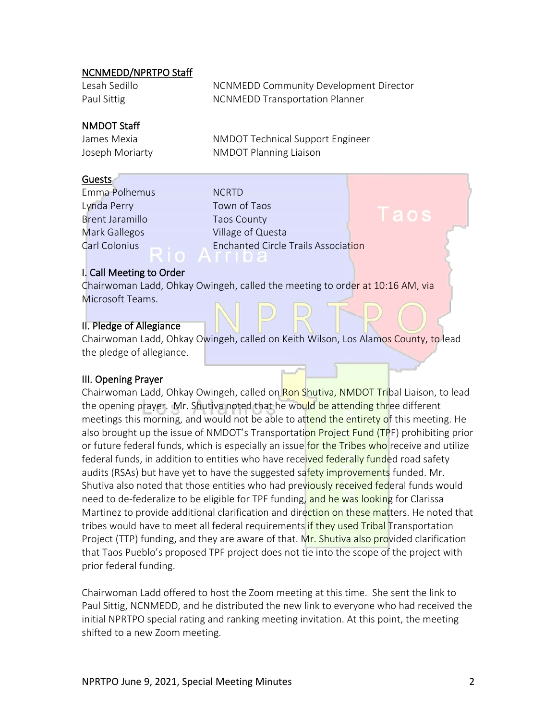# NCNMEDD/NPRTPO Staff

| Lesah Sedillo | NCNMEDD Community Development Director |
|---------------|----------------------------------------|
| Paul Sittig   | <b>NCNMEDD Transportation Planner</b>  |

# NMDOT Staff

James Mexia NMDOT Technical Support Engineer Joseph Moriarty NMDOT Planning Liaison

#### Guests

Emma Polhemus NCRTD Lynda Perry Town of Taos Brent Jaramillo Taos County

Mark Gallegos **Village of Questa** Carl Colonius **Enchanted Circle Trails Association** 

## I. Call Meeting to Order

Chairwoman Ladd, Ohkay Owingeh, called the meeting to order at 10:16 AM, via Microsoft Teams.

## II. Pledge of Allegiance

Chairwoman Ladd, Ohkay Owingeh, called on Keith Wilson, Los Alamos County, to lead the pledge of allegiance.

## III. Opening Prayer

Chairwoman Ladd, Ohkay Owingeh, called on Ron Shutiva, NMDOT Tribal Liaison, to lead the opening prayer. Mr. Shutiva noted that he would be attending three different meetings this morning, and would not be able to attend the entirety of this meeting. He also brought up the issue of NMDOT's Transportation Project Fund (TPF) prohibiting prior or future federal funds, which is especially an issue for the Tribes who receive and utilize federal funds, in addition to entities who have received federally funded road safety audits (RSAs) but have yet to have the suggested safety improvements funded. Mr. Shutiva also noted that those entities who had previously received federal funds would need to de-federalize to be eligible for TPF funding, and he was looking for Clarissa Martinez to provide additional clarification and direction on these matters. He noted that tribes would have to meet all federal requirements if they used Tribal Transportation Project (TTP) funding, and they are aware of that. Mr. Shutiva also provided clarification that Taos Pueblo's proposed TPF project does not tie into the scope of the project with prior federal funding.

Chairwoman Ladd offered to host the Zoom meeting at this time. She sent the link to Paul Sittig, NCNMEDD, and he distributed the new link to everyone who had received the initial NPRTPO special rating and ranking meeting invitation. At this point, the meeting shifted to a new Zoom meeting.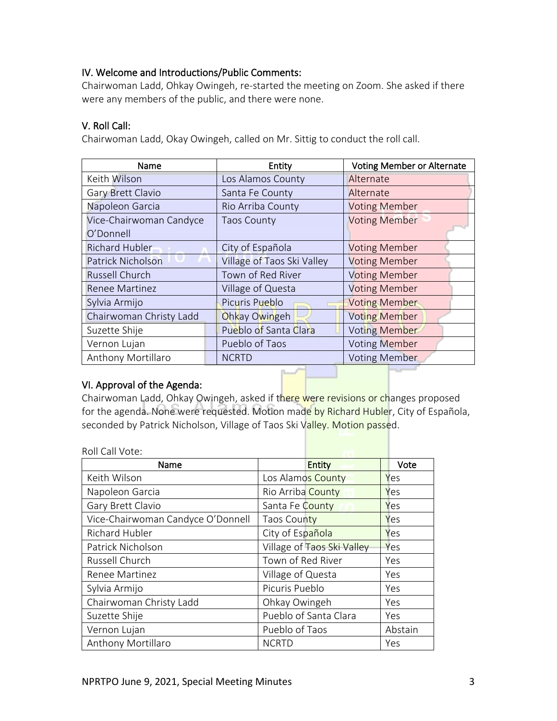# IV. Welcome and Introductions/Public Comments:

Chairwoman Ladd, Ohkay Owingeh, re-started the meeting on Zoom. She asked if there were any members of the public, and there were none.

# V. Roll Call:

Chairwoman Ladd, Okay Owingeh, called on Mr. Sittig to conduct the roll call.

| Name                     | Entity                     | <b>Voting Member or Alternate</b> |
|--------------------------|----------------------------|-----------------------------------|
| Keith Wilson             | Los Alamos County          | Alternate                         |
| Gary Brett Clavio        | Santa Fe County            | Alternate                         |
| Napoleon Garcia          | Rio Arriba County          | <b>Voting Member</b>              |
| Vice-Chairwoman Candyce  | <b>Taos County</b>         | <b>Voting Member</b>              |
| O'Donnell                |                            |                                   |
| <b>Richard Hubler</b>    | City of Española           | <b>Voting Member</b>              |
| <b>Patrick Nicholson</b> | Village of Taos Ski Valley | <b>Voting Member</b>              |
| <b>Russell Church</b>    | Town of Red River          | <b>Voting Member</b>              |
| <b>Renee Martinez</b>    | Village of Questa          | <b>Voting Member</b>              |
| Sylvia Armijo            | Picuris Pueblo             | <b>Voting Member</b>              |
| Chairwoman Christy Ladd  | Ohkay Owingeh              | <b>Voting Member</b>              |
| Suzette Shije            | Pueblo of Santa Clara      | Voting Member                     |
| Vernon Lujan             | Pueblo of Taos             | <b>Voting Member</b>              |
| Anthony Mortillaro       | <b>NCRTD</b>               | <b>Voting Member</b>              |

# VI. Approval of the Agenda:

Chairwoman Ladd, Ohkay Owingeh, asked if there were revisions or changes proposed for the agenda. None were requested. Motion made by Richard Hubler, City of Española, seconded by Patrick Nicholson, Village of Taos Ski Valley. Motion passed.

Roll Call Vote:

| Name                              | <b>Entity</b>              | Vote    |
|-----------------------------------|----------------------------|---------|
| Keith Wilson                      | Los Alamos County          | Yes     |
| Napoleon Garcia                   | Rio Arriba County          | Yes     |
| Gary Brett Clavio                 | Santa Fe County            | Yes     |
| Vice-Chairwoman Candyce O'Donnell | Taos County                | Yes     |
| Richard Hubler                    | City of Española           | Yes     |
| Patrick Nicholson                 | Village of Taos Ski Valley | Yes     |
| Russell Church                    | Town of Red River          | Yes     |
| Renee Martinez                    | Village of Questa          | Yes     |
| Sylvia Armijo                     | Picuris Pueblo             | Yes     |
| Chairwoman Christy Ladd           | Ohkay Owingeh              | Yes     |
| Suzette Shije                     | Pueblo of Santa Clara      | Yes     |
| Vernon Lujan                      | Pueblo of Taos             | Abstain |
| Anthony Mortillaro                | <b>NCRTD</b>               | Yes     |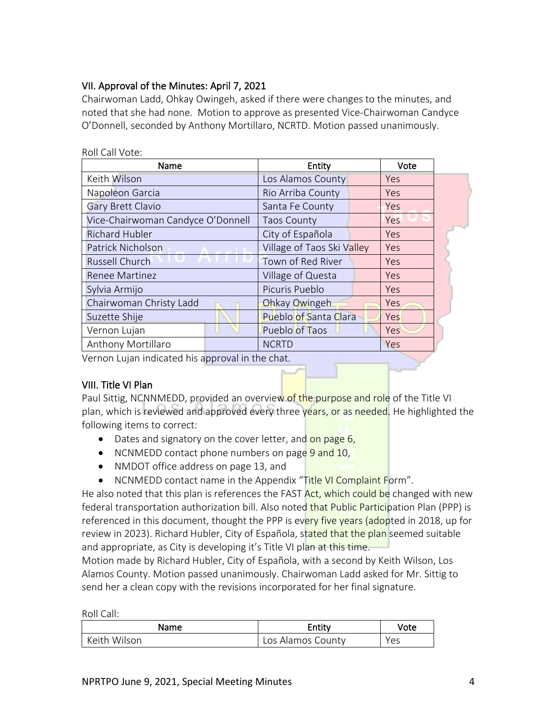# VII. Approval of the Minutes: April 7, 2021

Chairwoman Ladd, Ohkay Owingeh, asked if there were changes to the minutes, and noted that she had none. Motion to approve as presented Vice-Chairwoman Candyce O'Donnell, seconded by Anthony Mortillaro, NCRTD. Motion passed unanimously.

| Name                                             | Entity                       | Vote       |  |
|--------------------------------------------------|------------------------------|------------|--|
| Keith Wilson                                     | Los Alamos County            | Yes        |  |
| Napoleon Garcia                                  | Rio Arriba County            | Yes        |  |
| <b>Gary Brett Clavio</b>                         | Santa Fe County              | <b>Yes</b> |  |
| Vice-Chairwoman Candyce O'Donnell                | <b>Taos County</b>           | Yes        |  |
| <b>Richard Hubler</b>                            | City of Española             | Yes        |  |
| Patrick Nicholson                                | Village of Taos Ski Valley   | Yes        |  |
| Russell Church                                   | Town of Red River            | <b>Yes</b> |  |
| Renee Martinez                                   | Village of Questa            | <b>Yes</b> |  |
| Sylvia Armijo                                    | Picuris Pueblo               | <b>Yes</b> |  |
| Chairwoman Christy Ladd                          | Ohkay Owingeh                | Yes.       |  |
| Suzette Shije                                    | <b>Pueblo of Santa Clara</b> | Yes        |  |
| Vernon Lujan                                     | Pueblo of Taos               | Yes        |  |
| Anthony Mortillaro                               | <b>NCRTD</b>                 | Yes        |  |
| Vernon Lujan indicated his approval in the chat. |                              |            |  |

#### Roll Call Vote:

## VIII. Title VI Plan

Paul Sittig, NCNNMEDD, provided an overview of the purpose and role of the Title VI plan, which is reviewed and approved every three years, or as needed. He highlighted the following items to correct:

- Dates and signatory on the cover letter, and on page 6,
- NCNMEDD contact phone numbers on page 9 and 10,
- NMDOT office address on page 13, and
- NCNMEDD contact name in the Appendix "Title VI Complaint Form".

He also noted that this plan is references the FAST Act, which could be changed with new federal transportation authorization bill. Also noted that Public Participation Plan (PPP) is referenced in this document, thought the PPP is every five years (adopted in 2018, up for review in 2023). Richard Hubler, City of Española, stated that the plan seemed suitable and appropriate, as City is developing it's Title VI plan at this time.

Motion made by Richard Hubler, City of Española, with a second by Keith Wilson, Los Alamos County. Motion passed unanimously. Chairwoman Ladd asked for Mr. Sittig to send her a clean copy with the revisions incorporated for her final signature.

Roll Call:

| Name         | Entity            | Vote |
|--------------|-------------------|------|
| Keith Wilson | Los Alamos County | Yes  |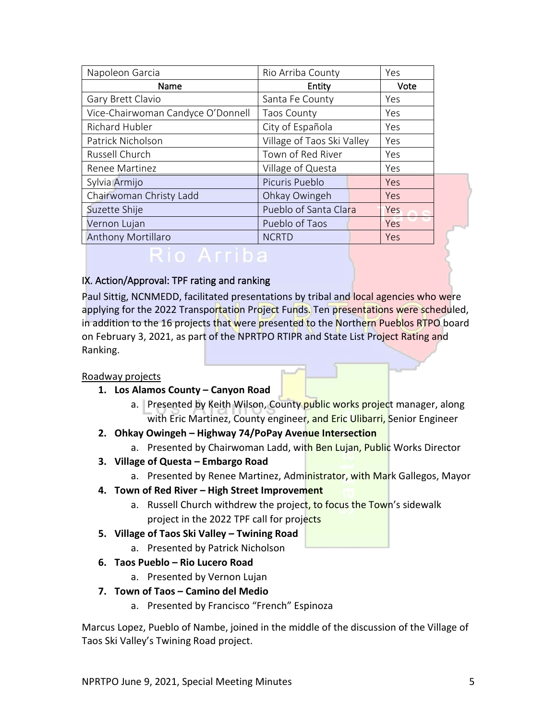| Napoleon Garcia                   | Rio Arriba County          | Yes        |  |
|-----------------------------------|----------------------------|------------|--|
| Name                              | Entity                     | Vote       |  |
| Gary Brett Clavio                 | Santa Fe County            | Yes        |  |
| Vice-Chairwoman Candyce O'Donnell | <b>Taos County</b>         | Yes        |  |
| <b>Richard Hubler</b>             | City of Española           | Yes        |  |
| Patrick Nicholson                 | Village of Taos Ski Valley | Yes        |  |
| Russell Church                    | Town of Red River          | Yes        |  |
| Renee Martinez                    | Village of Questa          | Yes        |  |
| Sylvia Armijo                     | Picuris Pueblo             | <b>Yes</b> |  |
| Chairwoman Christy Ladd           | Ohkay Owingeh              | <b>Yes</b> |  |
| Suzette Shije                     | Pueblo of Santa Clara      | <b>Yes</b> |  |
| Vernon Lujan                      | Pueblo of Taos             | Yes        |  |
| <b>Anthony Mortillaro</b>         | <b>NCRTD</b>               | <b>Yes</b> |  |
|                                   |                            |            |  |

# IX. Action/Approval: TPF rating and ranking

Paul Sittig, NCNMEDD, facilitated presentations by tribal and local agencies who were applying for the 2022 Transportation Project Funds. Ten presentations were scheduled, in addition to the 16 projects that were presented to the Northern Pueblos RTPO board on February 3, 2021, as part of the NPRTPO RTIPR and State List Project Rating and Ranking.

## Roadway projects

- **1. Los Alamos County – Canyon Road**
	- a. Presented by Keith Wilson, County public works project manager, along with Eric Martinez, County engineer, and Eric Ulibarri, Senior Engineer
- **2. Ohkay Owingeh – Highway 74/PoPay Avenue Intersection**
	- a. Presented by Chairwoman Ladd, with Ben Lujan, Public Works Director
- **3. Village of Questa – Embargo Road**
	- a. Presented by Renee Martinez, Administrator, with Mark Gallegos, Mayor
- **4. Town of Red River – High Street Improvement**
	- a. Russell Church withdrew the project, to focus the Town's sidewalk project in the 2022 TPF call for projects
- **5. Village of Taos Ski Valley – Twining Road**
	- a. Presented by Patrick Nicholson
- **6. Taos Pueblo – Rio Lucero Road**
	- a. Presented by Vernon Lujan
- **7. Town of Taos – Camino del Medio**
	- a. Presented by Francisco "French" Espinoza

Marcus Lopez, Pueblo of Nambe, joined in the middle of the discussion of the Village of Taos Ski Valley's Twining Road project.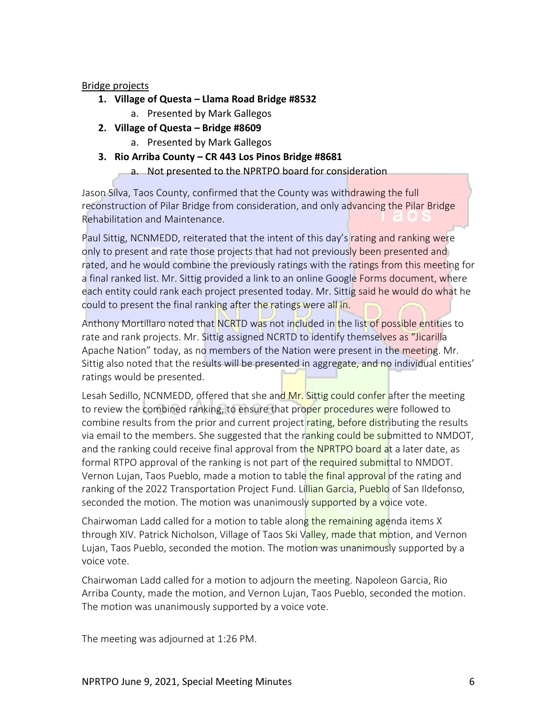# Bridge projects

- **1. Village of Questa – Llama Road Bridge #8532**
	- a. Presented by Mark Gallegos
- **2. Village of Questa – Bridge #8609**
	- a. Presented by Mark Gallegos
- **3. Rio Arriba County – CR 443 Los Pinos Bridge #8681**
	- a. Not presented to the NPRTPO board for consideration

Jason Silva, Taos County, confirmed that the County was withdrawing the full reconstruction of Pilar Bridge from consideration, and only advancing the Pilar Bridge Rehabilitation and Maintenance.

Paul Sittig, NCNMEDD, reiterated that the intent of this day's rating and ranking were only to present and rate those projects that had not previously been presented and rated, and he would combine the previously ratings with the ratings from this meeting for a final ranked list. Mr. Sittig provided a link to an online Google Forms document, where each entity could rank each project presented today. Mr. Sittig said he would do what he could to present the final ranking after the ratings were all in.

Anthony Mortillaro noted that NCRTD was not included in the list of possible entities to rate and rank projects. Mr. Sittig assigned NCRTD to identify themselves as "Jicarilla Apache Nation" today, as no members of the Nation were present in the meeting. Mr. Sittig also noted that the results will be presented in aggregate, and no individual entities' ratings would be presented.

Lesah Sedillo, NCNMEDD, offered that she and Mr. Sittig could confer after the meeting to review the combined ranking, to ensure that proper procedures were followed to combine results from the prior and current project rating, before distributing the results via email to the members. She suggested that the ranking could be submitted to NMDOT, and the ranking could receive final approval from the NPRTPO board at a later date, as formal RTPO approval of the ranking is not part of the required submittal to NMDOT. Vernon Lujan, Taos Pueblo, made a motion to table the final approval of the rating and ranking of the 2022 Transportation Project Fund. Lillian Garcia, Pueblo of San Ildefonso, seconded the motion. The motion was unanimously supported by a voice vote.

Chairwoman Ladd called for a motion to table along the remaining agenda items X through XIV. Patrick Nicholson, Village of Taos Ski Valley, made that motion, and Vernon Lujan, Taos Pueblo, seconded the motion. The motion was unanimously supported by a voice vote.

Chairwoman Ladd called for a motion to adjourn the meeting. Napoleon Garcia, Rio Arriba County, made the motion, and Vernon Lujan, Taos Pueblo, seconded the motion. The motion was unanimously supported by a voice vote.

The meeting was adjourned at 1:26 PM.